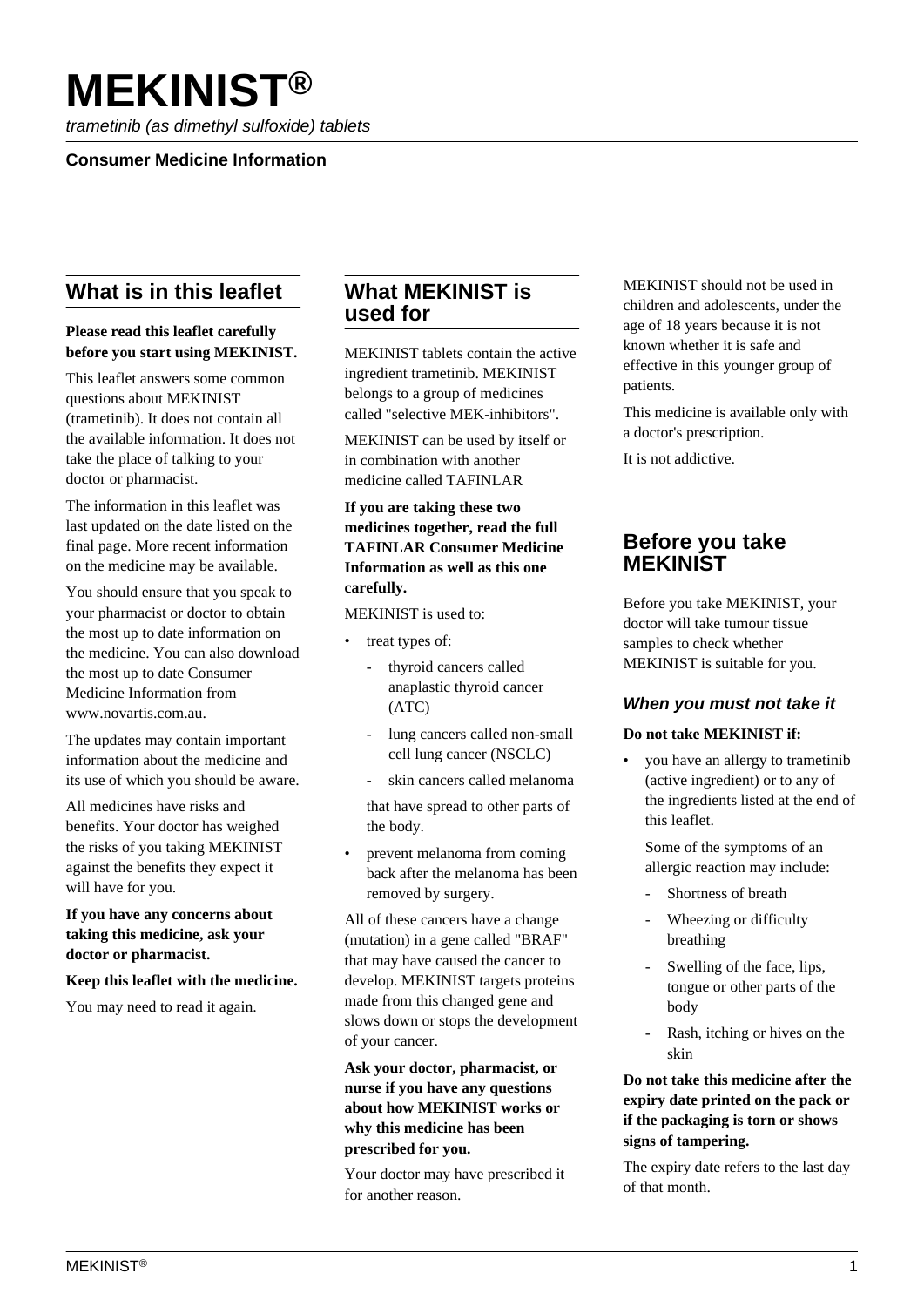# **MEKINIST®**

trametinib (as dimethyl sulfoxide) tablets

## **Consumer Medicine Information**

# **What is in this leaflet**

#### **Please read this leaflet carefully before you start using MEKINIST.**

This leaflet answers some common questions about MEKINIST (trametinib). It does not contain all the available information. It does not take the place of talking to your doctor or pharmacist.

The information in this leaflet was last updated on the date listed on the final page. More recent information on the medicine may be available.

You should ensure that you speak to your pharmacist or doctor to obtain the most up to date information on the medicine. You can also download the most up to date Consumer Medicine Information from www.novartis.com.au.

The updates may contain important information about the medicine and its use of which you should be aware.

All medicines have risks and benefits. Your doctor has weighed the risks of you taking MEKINIST against the benefits they expect it will have for you.

**If you have any concerns about taking this medicine, ask your doctor or pharmacist.**

#### **Keep this leaflet with the medicine.**

You may need to read it again.

# **What MEKINIST is used for**

MEKINIST tablets contain the active ingredient trametinib. MEKINIST belongs to a group of medicines called "selective MEK-inhibitors".

MEKINIST can be used by itself or in combination with another medicine called TAFINLAR

#### **If you are taking these two medicines together, read the full TAFINLAR Consumer Medicine Information as well as this one carefully.**

MEKINIST is used to:

- treat types of:
	- thyroid cancers called anaplastic thyroid cancer (ATC)
	- lung cancers called non-small cell lung cancer (NSCLC)
	- skin cancers called melanoma

 that have spread to other parts of the body.

• prevent melanoma from coming back after the melanoma has been removed by surgery.

All of these cancers have a change (mutation) in a gene called "BRAF" that may have caused the cancer to develop. MEKINIST targets proteins made from this changed gene and slows down or stops the development of your cancer.

**Ask your doctor, pharmacist, or nurse if you have any questions about how MEKINIST works or why this medicine has been prescribed for you.**

Your doctor may have prescribed it for another reason.

MEKINIST should not be used in children and adolescents, under the age of 18 years because it is not known whether it is safe and effective in this younger group of patients.

This medicine is available only with a doctor's prescription.

It is not addictive.

# **Before you take MEKINIST**

Before you take MEKINIST, your doctor will take tumour tissue samples to check whether MEKINIST is suitable for you.

#### **When you must not take it**

#### **Do not take MEKINIST if:**

• you have an allergy to trametinib (active ingredient) or to any of the ingredients listed at the end of this leaflet.

 Some of the symptoms of an allergic reaction may include:

- Shortness of breath
- Wheezing or difficulty breathing
- Swelling of the face, lips, tongue or other parts of the body
- Rash, itching or hives on the skin

## **Do not take this medicine after the expiry date printed on the pack or if the packaging is torn or shows signs of tampering.**

The expiry date refers to the last day of that month.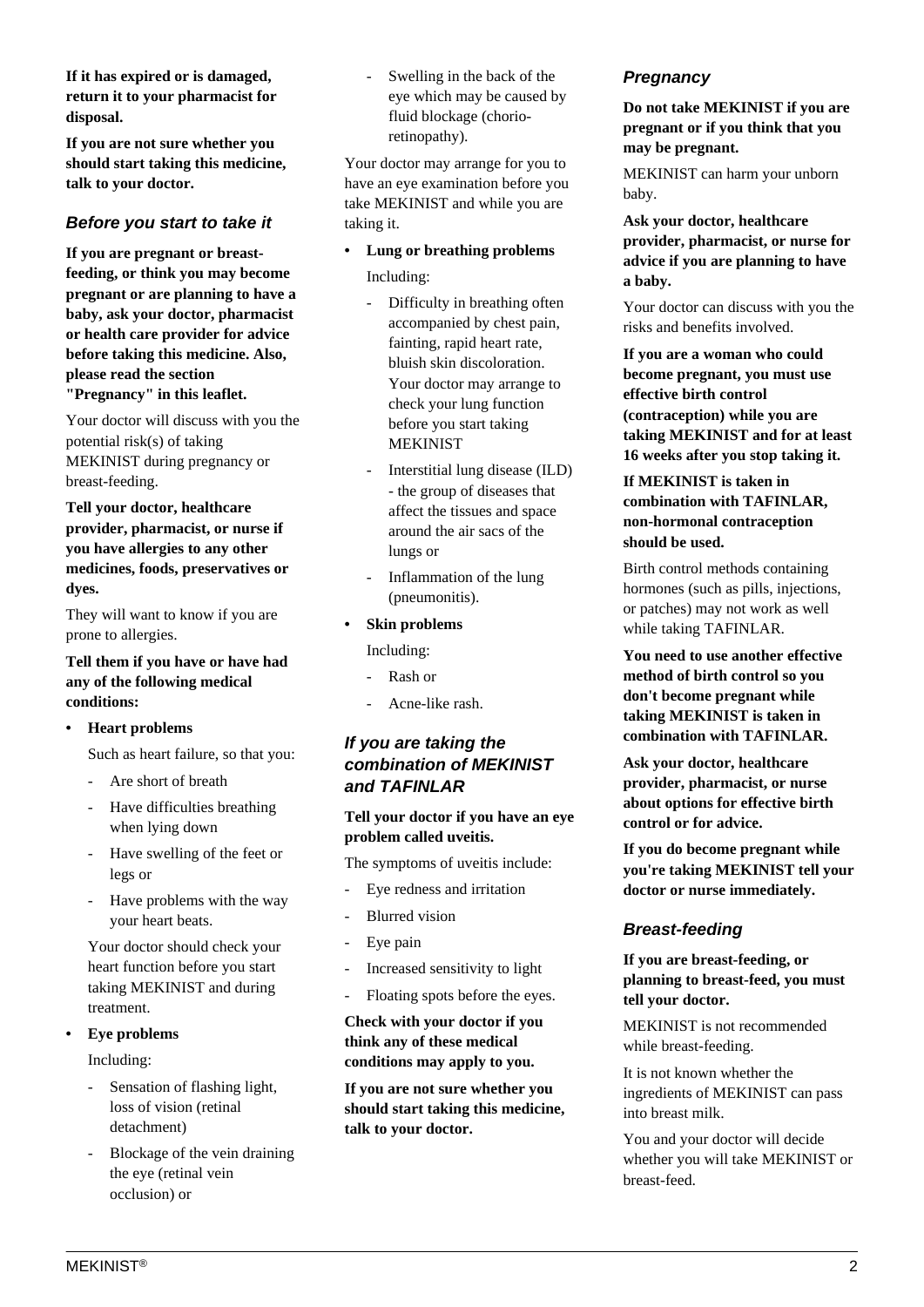**If it has expired or is damaged, return it to your pharmacist for disposal.**

**If you are not sure whether you should start taking this medicine, talk to your doctor.**

## **Before you start to take it**

**If you are pregnant or breastfeeding, or think you may become pregnant or are planning to have a baby, ask your doctor, pharmacist or health care provider for advice before taking this medicine. Also, please read the section "Pregnancy" in this leaflet.**

Your doctor will discuss with you the potential risk(s) of taking MEKINIST during pregnancy or breast-feeding.

**Tell your doctor, healthcare provider, pharmacist, or nurse if you have allergies to any other medicines, foods, preservatives or dyes.**

They will want to know if you are prone to allergies.

#### **Tell them if you have or have had any of the following medical conditions:**

**• Heart problems**

Such as heart failure, so that you:

- Are short of breath
- Have difficulties breathing when lying down
- Have swelling of the feet or legs or
- Have problems with the way your heart beats.

 Your doctor should check your heart function before you start taking MEKINIST and during treatment.

#### **• Eye problems**

Including:

- Sensation of flashing light, loss of vision (retinal detachment)
- Blockage of the vein draining the eye (retinal vein occlusion) or

Swelling in the back of the eye which may be caused by fluid blockage (chorioretinopathy).

Your doctor may arrange for you to have an eye examination before you take MEKINIST and while you are taking it.

- **Lung or breathing problems** Including:
	- Difficulty in breathing often accompanied by chest pain, fainting, rapid heart rate, bluish skin discoloration. Your doctor may arrange to check your lung function before you start taking MEKINIST
	- Interstitial lung disease (ILD) - the group of diseases that affect the tissues and space around the air sacs of the lungs or
	- Inflammation of the lung (pneumonitis).

#### **• Skin problems**

Including:

- Rash or
- Acne-like rash.

## **If you are taking the combination of MEKINIST and TAFINLAR**

#### **Tell your doctor if you have an eye problem called uveitis.**

The symptoms of uveitis include:

- Eye redness and irritation
- Blurred vision
- Eye pain
- Increased sensitivity to light
- Floating spots before the eyes.

**Check with your doctor if you think any of these medical conditions may apply to you.**

**If you are not sure whether you should start taking this medicine, talk to your doctor.**

## **Pregnancy**

#### **Do not take MEKINIST if you are pregnant or if you think that you may be pregnant.**

MEKINIST can harm your unborn baby.

**Ask your doctor, healthcare provider, pharmacist, or nurse for advice if you are planning to have a baby.**

Your doctor can discuss with you the risks and benefits involved.

**If you are a woman who could become pregnant, you must use effective birth control (contraception) while you are taking MEKINIST and for at least 16 weeks after you stop taking it.**

#### **If MEKINIST is taken in combination with TAFINLAR, non-hormonal contraception should be used.**

Birth control methods containing hormones (such as pills, injections, or patches) may not work as well while taking TAFINLAR.

**You need to use another effective method of birth control so you don't become pregnant while taking MEKINIST is taken in combination with TAFINLAR.**

**Ask your doctor, healthcare provider, pharmacist, or nurse about options for effective birth control or for advice.**

**If you do become pregnant while you're taking MEKINIST tell your doctor or nurse immediately.**

#### **Breast-feeding**

**If you are breast-feeding, or planning to breast-feed, you must tell your doctor.**

MEKINIST is not recommended while breast-feeding.

It is not known whether the ingredients of MEKINIST can pass into breast milk.

You and your doctor will decide whether you will take MEKINIST or breast-feed.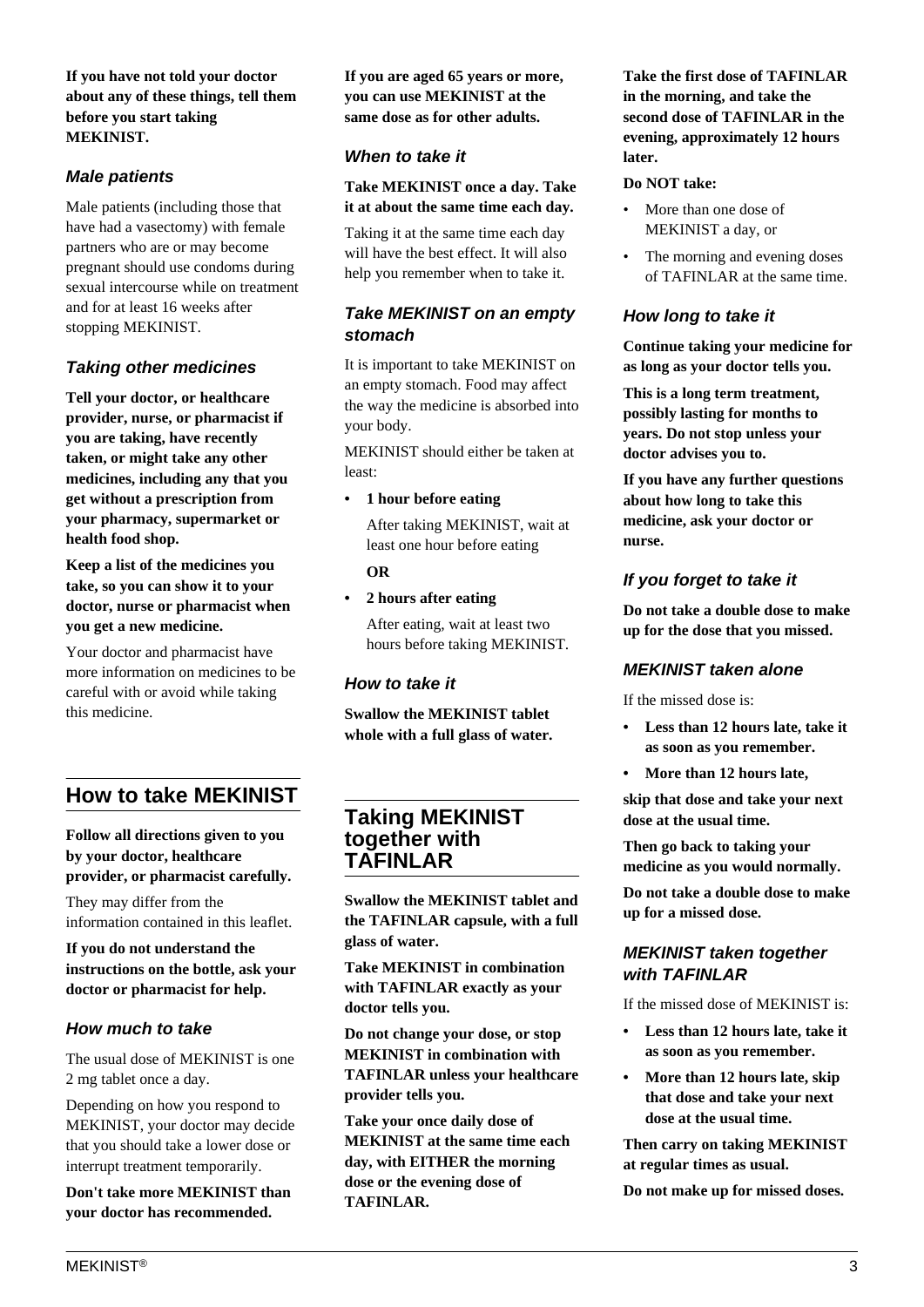#### **If you have not told your doctor about any of these things, tell them before you start taking MEKINIST.**

## **Male patients**

Male patients (including those that have had a vasectomy) with female partners who are or may become pregnant should use condoms during sexual intercourse while on treatment and for at least 16 weeks after stopping MEKINIST.

## **Taking other medicines**

**Tell your doctor, or healthcare provider, nurse, or pharmacist if you are taking, have recently taken, or might take any other medicines, including any that you get without a prescription from your pharmacy, supermarket or health food shop.**

**Keep a list of the medicines you take, so you can show it to your doctor, nurse or pharmacist when you get a new medicine.**

Your doctor and pharmacist have more information on medicines to be careful with or avoid while taking this medicine.

# **How to take MEKINIST**

**Follow all directions given to you by your doctor, healthcare provider, or pharmacist carefully.**

They may differ from the information contained in this leaflet.

**If you do not understand the instructions on the bottle, ask your doctor or pharmacist for help.**

## **How much to take**

The usual dose of MEKINIST is one 2 mg tablet once a day.

Depending on how you respond to MEKINIST, your doctor may decide that you should take a lower dose or interrupt treatment temporarily.

**Don't take more MEKINIST than your doctor has recommended.**

**If you are aged 65 years or more, you can use MEKINIST at the same dose as for other adults.**

## **When to take it**

**Take MEKINIST once a day. Take it at about the same time each day.**

Taking it at the same time each day will have the best effect. It will also help you remember when to take it.

## **Take MEKINIST on an empty stomach**

It is important to take MEKINIST on an empty stomach. Food may affect the way the medicine is absorbed into your body.

MEKINIST should either be taken at least:

**• 1 hour before eating**

 After taking MEKINIST, wait at least one hour before eating

 **OR**

**• 2 hours after eating**

 After eating, wait at least two hours before taking MEKINIST.

#### **How to take it**

**Swallow the MEKINIST tablet whole with a full glass of water.**

# **Taking MEKINIST together with TAFINLAR**

**Swallow the MEKINIST tablet and the TAFINLAR capsule, with a full glass of water.**

**Take MEKINIST in combination with TAFINLAR exactly as your doctor tells you.**

**Do not change your dose, or stop MEKINIST in combination with TAFINLAR unless your healthcare provider tells you.**

**Take your once daily dose of MEKINIST at the same time each day, with EITHER the morning dose or the evening dose of TAFINLAR.**

**Take the first dose of TAFINLAR in the morning, and take the second dose of TAFINLAR in the evening, approximately 12 hours later.**

#### **Do NOT take:**

- More than one dose of MEKINIST a day, or
- The morning and evening doses of TAFINLAR at the same time.

## **How long to take it**

**Continue taking your medicine for as long as your doctor tells you.**

**This is a long term treatment, possibly lasting for months to years. Do not stop unless your doctor advises you to.**

**If you have any further questions about how long to take this medicine, ask your doctor or nurse.**

## **If you forget to take it**

**Do not take a double dose to make up for the dose that you missed.**

#### **MEKINIST taken alone**

If the missed dose is:

- **Less than 12 hours late, take it as soon as you remember.**
- **More than 12 hours late,**

**skip that dose and take your next dose at the usual time.**

**Then go back to taking your medicine as you would normally.**

**Do not take a double dose to make up for a missed dose.**

#### **MEKINIST taken together with TAFINLAR**

If the missed dose of MEKINIST is:

- **Less than 12 hours late, take it as soon as you remember.**
- **More than 12 hours late, skip that dose and take your next dose at the usual time.**

**Then carry on taking MEKINIST at regular times as usual.**

**Do not make up for missed doses.**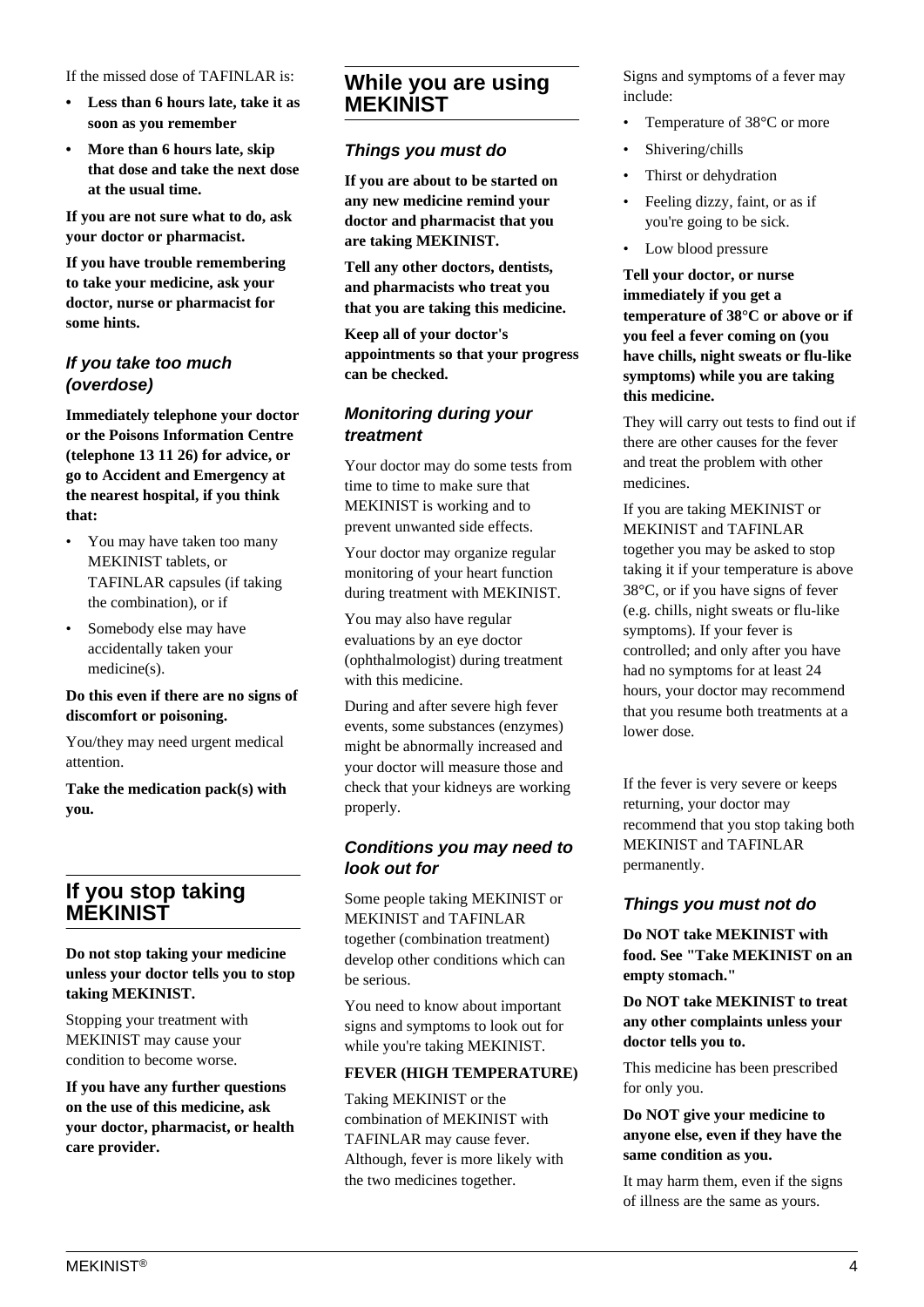If the missed dose of TAFINLAR is:

- **Less than 6 hours late, take it as soon as you remember**
- **More than 6 hours late, skip that dose and take the next dose at the usual time.**

**If you are not sure what to do, ask your doctor or pharmacist.**

**If you have trouble remembering to take your medicine, ask your doctor, nurse or pharmacist for some hints.**

## **If you take too much (overdose)**

**Immediately telephone your doctor or the Poisons Information Centre (telephone 13 11 26) for advice, or go to Accident and Emergency at the nearest hospital, if you think that:**

- You may have taken too many MEKINIST tablets, or TAFINLAR capsules (if taking the combination), or if
- Somebody else may have accidentally taken your medicine(s).

#### **Do this even if there are no signs of discomfort or poisoning.**

You/they may need urgent medical attention.

**Take the medication pack(s) with you.**

# **If you stop taking MEKINIST**

**Do not stop taking your medicine unless your doctor tells you to stop taking MEKINIST.**

Stopping your treatment with MEKINIST may cause your condition to become worse.

**If you have any further questions on the use of this medicine, ask your doctor, pharmacist, or health care provider.**

## **While you are using MEKINIST**

#### **Things you must do**

**If you are about to be started on any new medicine remind your doctor and pharmacist that you are taking MEKINIST.**

**Tell any other doctors, dentists, and pharmacists who treat you that you are taking this medicine.**

**Keep all of your doctor's appointments so that your progress can be checked.**

## **Monitoring during your treatment**

Your doctor may do some tests from time to time to make sure that MEKINIST is working and to prevent unwanted side effects.

Your doctor may organize regular monitoring of your heart function during treatment with MEKINIST.

You may also have regular evaluations by an eye doctor (ophthalmologist) during treatment with this medicine.

During and after severe high fever events, some substances (enzymes) might be abnormally increased and your doctor will measure those and check that your kidneys are working properly.

## **Conditions you may need to look out for**

Some people taking MEKINIST or MEKINIST and TAFINLAR together (combination treatment) develop other conditions which can be serious.

You need to know about important signs and symptoms to look out for while you're taking MEKINIST.

#### **FEVER (HIGH TEMPERATURE)**

Taking MEKINIST or the combination of MEKINIST with TAFINLAR may cause fever. Although, fever is more likely with the two medicines together.

Signs and symptoms of a fever may include:

- Temperature of 38°C or more
- Shivering/chills
- Thirst or dehydration
- Feeling dizzy, faint, or as if you're going to be sick.
- Low blood pressure

**Tell your doctor, or nurse immediately if you get a temperature of 38°C or above or if you feel a fever coming on (you have chills, night sweats or flu-like symptoms) while you are taking this medicine.**

They will carry out tests to find out if there are other causes for the fever and treat the problem with other medicines.

If you are taking MEKINIST or MEKINIST and TAFINLAR together you may be asked to stop taking it if your temperature is above 38°C, or if you have signs of fever (e.g. chills, night sweats or flu-like symptoms). If your fever is controlled; and only after you have had no symptoms for at least 24 hours, your doctor may recommend that you resume both treatments at a lower dose.

If the fever is very severe or keeps returning, your doctor may recommend that you stop taking both MEKINIST and TAFINLAR permanently.

## **Things you must not do**

**Do NOT take MEKINIST with food. See "Take MEKINIST on an empty stomach."**

#### **Do NOT take MEKINIST to treat any other complaints unless your doctor tells you to.**

This medicine has been prescribed for only you.

#### **Do NOT give your medicine to anyone else, even if they have the same condition as you.**

It may harm them, even if the signs of illness are the same as yours.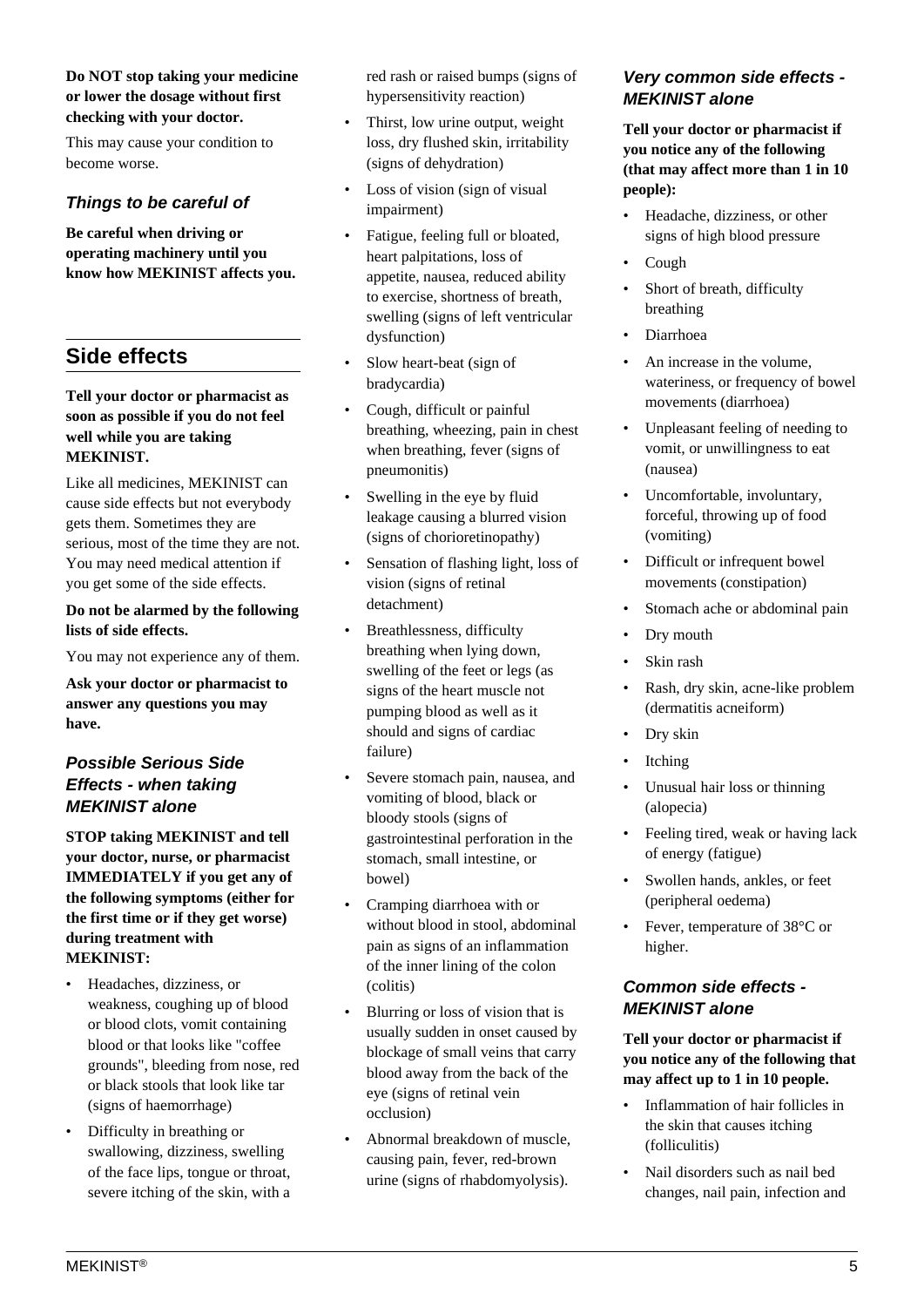#### **Do NOT stop taking your medicine or lower the dosage without first checking with your doctor.**

This may cause your condition to become worse.

## **Things to be careful of**

**Be careful when driving or operating machinery until you know how MEKINIST affects you.**

# **Side effects**

#### **Tell your doctor or pharmacist as soon as possible if you do not feel well while you are taking MEKINIST.**

Like all medicines, MEKINIST can cause side effects but not everybody gets them. Sometimes they are serious, most of the time they are not. You may need medical attention if you get some of the side effects.

#### **Do not be alarmed by the following lists of side effects.**

You may not experience any of them.

**Ask your doctor or pharmacist to answer any questions you may have.**

## **Possible Serious Side Effects - when taking MEKINIST alone**

**STOP taking MEKINIST and tell your doctor, nurse, or pharmacist IMMEDIATELY if you get any of the following symptoms (either for the first time or if they get worse) during treatment with MEKINIST:**

- Headaches, dizziness, or weakness, coughing up of blood or blood clots, vomit containing blood or that looks like "coffee grounds", bleeding from nose, red or black stools that look like tar (signs of haemorrhage)
- Difficulty in breathing or swallowing, dizziness, swelling of the face lips, tongue or throat, severe itching of the skin, with a

red rash or raised bumps (signs of hypersensitivity reaction)

- Thirst, low urine output, weight loss, dry flushed skin, irritability (signs of dehydration)
- Loss of vision (sign of visual impairment)
- Fatigue, feeling full or bloated, heart palpitations, loss of appetite, nausea, reduced ability to exercise, shortness of breath, swelling (signs of left ventricular dysfunction)
- Slow heart-beat (sign of bradycardia)
- Cough, difficult or painful breathing, wheezing, pain in chest when breathing, fever (signs of pneumonitis)
- Swelling in the eye by fluid leakage causing a blurred vision (signs of chorioretinopathy)
- Sensation of flashing light, loss of vision (signs of retinal detachment)
- Breathlessness, difficulty breathing when lying down, swelling of the feet or legs (as signs of the heart muscle not pumping blood as well as it should and signs of cardiac failure)
- Severe stomach pain, nausea, and vomiting of blood, black or bloody stools (signs of gastrointestinal perforation in the stomach, small intestine, or bowel)
- Cramping diarrhoea with or without blood in stool, abdominal pain as signs of an inflammation of the inner lining of the colon (colitis)
- Blurring or loss of vision that is usually sudden in onset caused by blockage of small veins that carry blood away from the back of the eye (signs of retinal vein occlusion)
- Abnormal breakdown of muscle, causing pain, fever, red-brown urine (signs of rhabdomyolysis).

## **Very common side effects - MEKINIST alone**

**Tell your doctor or pharmacist if you notice any of the following (that may affect more than 1 in 10 people):**

- Headache, dizziness, or other signs of high blood pressure
- Cough
- Short of breath, difficulty breathing
- Diarrhoea
- An increase in the volume, wateriness, or frequency of bowel movements (diarrhoea)
- Unpleasant feeling of needing to vomit, or unwillingness to eat (nausea)
- Uncomfortable, involuntary, forceful, throwing up of food (vomiting)
- Difficult or infrequent bowel movements (constipation)
- Stomach ache or abdominal pain
- Dry mouth
- Skin rash
- Rash, dry skin, acne-like problem (dermatitis acneiform)
- Dry skin
- **Itching**
- Unusual hair loss or thinning (alopecia)
- Feeling tired, weak or having lack of energy (fatigue)
- Swollen hands, ankles, or feet (peripheral oedema)
- Fever, temperature of 38°C or higher.

## **Common side effects - MEKINIST alone**

**Tell your doctor or pharmacist if you notice any of the following that may affect up to 1 in 10 people.**

- Inflammation of hair follicles in the skin that causes itching (folliculitis)
- Nail disorders such as nail bed changes, nail pain, infection and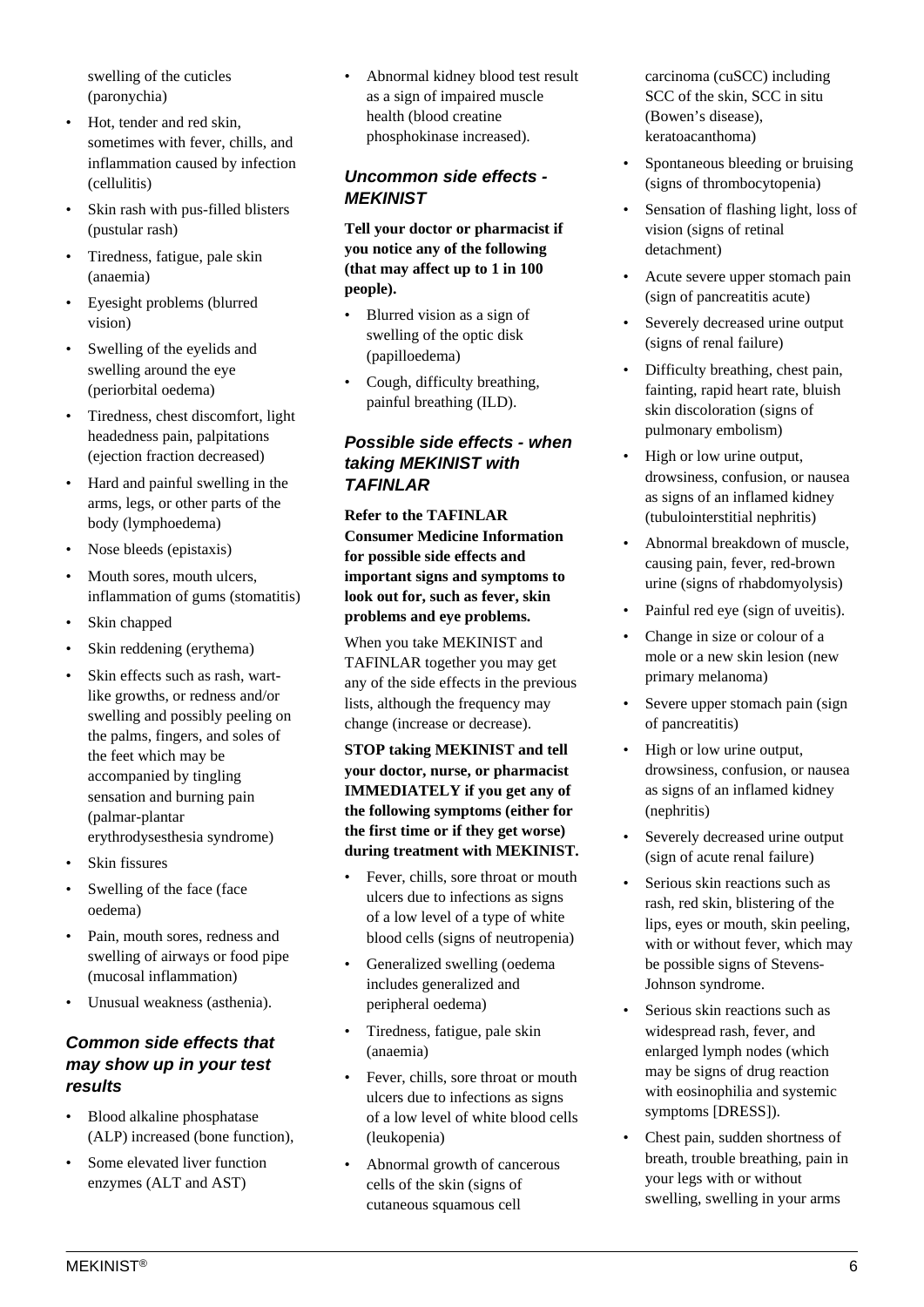swelling of the cuticles (paronychia)

- Hot, tender and red skin, sometimes with fever, chills, and inflammation caused by infection (cellulitis)
- Skin rash with pus-filled blisters (pustular rash)
- Tiredness, fatigue, pale skin (anaemia)
- Eyesight problems (blurred vision)
- Swelling of the eyelids and swelling around the eye (periorbital oedema)
- Tiredness, chest discomfort, light headedness pain, palpitations (ejection fraction decreased)
- Hard and painful swelling in the arms, legs, or other parts of the body (lymphoedema)
- Nose bleeds (epistaxis)
- Mouth sores, mouth ulcers, inflammation of gums (stomatitis)
- Skin chapped
- Skin reddening (erythema)
- Skin effects such as rash, wartlike growths, or redness and/or swelling and possibly peeling on the palms, fingers, and soles of the feet which may be accompanied by tingling sensation and burning pain (palmar-plantar erythrodysesthesia syndrome)
- Skin fissures
- Swelling of the face (face oedema)
- Pain, mouth sores, redness and swelling of airways or food pipe (mucosal inflammation)
- Unusual weakness (asthenia).

## **Common side effects that may show up in your test results**

- Blood alkaline phosphatase (ALP) increased (bone function),
- Some elevated liver function enzymes (ALT and AST)

• Abnormal kidney blood test result as a sign of impaired muscle health (blood creatine phosphokinase increased).

## **Uncommon side effects - MEKINIST**

**Tell your doctor or pharmacist if you notice any of the following (that may affect up to 1 in 100 people).**

- Blurred vision as a sign of swelling of the optic disk (papilloedema)
- Cough, difficulty breathing, painful breathing (ILD).

## **Possible side effects - when taking MEKINIST with TAFINLAR**

**Refer to the TAFINLAR Consumer Medicine Information for possible side effects and important signs and symptoms to look out for, such as fever, skin problems and eye problems.**

When you take MEKINIST and TAFINLAR together you may get any of the side effects in the previous lists, although the frequency may change (increase or decrease).

**STOP taking MEKINIST and tell your doctor, nurse, or pharmacist IMMEDIATELY if you get any of the following symptoms (either for the first time or if they get worse) during treatment with MEKINIST.**

- Fever, chills, sore throat or mouth ulcers due to infections as signs of a low level of a type of white blood cells (signs of neutropenia)
- Generalized swelling (oedema includes generalized and peripheral oedema)
- Tiredness, fatigue, pale skin (anaemia)
- Fever, chills, sore throat or mouth ulcers due to infections as signs of a low level of white blood cells (leukopenia)
- Abnormal growth of cancerous cells of the skin (signs of cutaneous squamous cell

carcinoma (cuSCC) including SCC of the skin, SCC in situ (Bowen's disease), keratoacanthoma)

- Spontaneous bleeding or bruising (signs of thrombocytopenia)
- Sensation of flashing light, loss of vision (signs of retinal detachment)
- Acute severe upper stomach pain (sign of pancreatitis acute)
- Severely decreased urine output (signs of renal failure)
- Difficulty breathing, chest pain, fainting, rapid heart rate, bluish skin discoloration (signs of pulmonary embolism)
- High or low urine output, drowsiness, confusion, or nausea as signs of an inflamed kidney (tubulointerstitial nephritis)
- Abnormal breakdown of muscle, causing pain, fever, red-brown urine (signs of rhabdomyolysis)
- Painful red eye (sign of uveitis).
- Change in size or colour of a mole or a new skin lesion (new primary melanoma)
- Severe upper stomach pain (sign of pancreatitis)
- High or low urine output, drowsiness, confusion, or nausea as signs of an inflamed kidney (nephritis)
- Severely decreased urine output (sign of acute renal failure)
- Serious skin reactions such as rash, red skin, blistering of the lips, eyes or mouth, skin peeling, with or without fever, which may be possible signs of Stevens-Johnson syndrome.
- Serious skin reactions such as widespread rash, fever, and enlarged lymph nodes (which may be signs of drug reaction with eosinophilia and systemic symptoms [DRESS]).
- Chest pain, sudden shortness of breath, trouble breathing, pain in your legs with or without swelling, swelling in your arms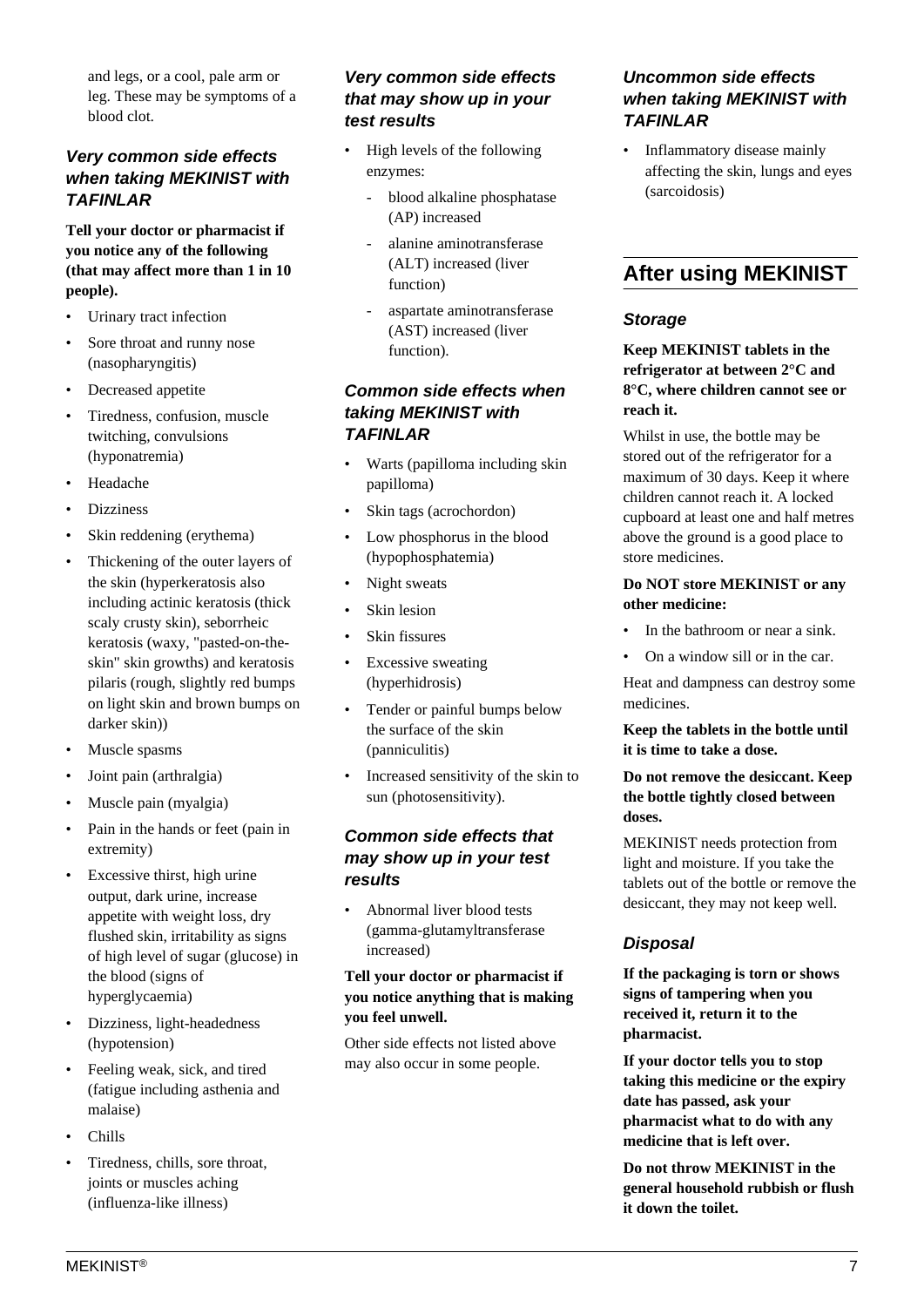and legs, or a cool, pale arm or leg. These may be symptoms of a blood clot.

## **Very common side effects when taking MEKINIST with TAFINLAR**

#### **Tell your doctor or pharmacist if you notice any of the following (that may affect more than 1 in 10 people).**

- Urinary tract infection
- Sore throat and runny nose (nasopharyngitis)
- Decreased appetite
- Tiredness, confusion, muscle twitching, convulsions (hyponatremia)
- Headache
- Dizziness
- Skin reddening (erythema)
- Thickening of the outer layers of the skin (hyperkeratosis also including actinic keratosis (thick scaly crusty skin), seborrheic keratosis (waxy, "pasted-on-theskin" skin growths) and keratosis pilaris (rough, slightly red bumps on light skin and brown bumps on darker skin))
- Muscle spasms
- Joint pain (arthralgia)
- Muscle pain (myalgia)
- Pain in the hands or feet (pain in extremity)
- Excessive thirst, high urine output, dark urine, increase appetite with weight loss, dry flushed skin, irritability as signs of high level of sugar (glucose) in the blood (signs of hyperglycaemia)
- Dizziness, light-headedness (hypotension)
- Feeling weak, sick, and tired (fatigue including asthenia and malaise)
- Chills
- Tiredness, chills, sore throat, joints or muscles aching (influenza-like illness)

## **Very common side effects that may show up in your test results**

- High levels of the following enzymes:
	- blood alkaline phosphatase (AP) increased
	- alanine aminotransferase (ALT) increased (liver function)
	- aspartate aminotransferase (AST) increased (liver function).

#### **Common side effects when taking MEKINIST with TAFINLAR**

- Warts (papilloma including skin papilloma)
- Skin tags (acrochordon)
- Low phosphorus in the blood (hypophosphatemia)
- Night sweats
- Skin lesion
- Skin fissures
- Excessive sweating (hyperhidrosis)
- Tender or painful bumps below the surface of the skin (panniculitis)
- Increased sensitivity of the skin to sun (photosensitivity).

## **Common side effects that may show up in your test results**

• Abnormal liver blood tests (gamma-glutamyltransferase increased)

#### **Tell your doctor or pharmacist if you notice anything that is making you feel unwell.**

Other side effects not listed above may also occur in some people.

## **Uncommon side effects when taking MEKINIST with TAFINLAR**

• Inflammatory disease mainly affecting the skin, lungs and eyes (sarcoidosis)

# **After using MEKINIST**

#### **Storage**

#### **Keep MEKINIST tablets in the refrigerator at between 2°C and 8°C, where children cannot see or reach it.**

Whilst in use, the bottle may be stored out of the refrigerator for a maximum of 30 days. Keep it where children cannot reach it. A locked cupboard at least one and half metres above the ground is a good place to store medicines.

#### **Do NOT store MEKINIST or any other medicine:**

- In the bathroom or near a sink.
- On a window sill or in the car.

Heat and dampness can destroy some medicines.

#### **Keep the tablets in the bottle until it is time to take a dose.**

#### **Do not remove the desiccant. Keep the bottle tightly closed between doses.**

MEKINIST needs protection from light and moisture. If you take the tablets out of the bottle or remove the desiccant, they may not keep well.

## **Disposal**

**If the packaging is torn or shows signs of tampering when you received it, return it to the pharmacist.**

**If your doctor tells you to stop taking this medicine or the expiry date has passed, ask your pharmacist what to do with any medicine that is left over.**

**Do not throw MEKINIST in the general household rubbish or flush it down the toilet.**